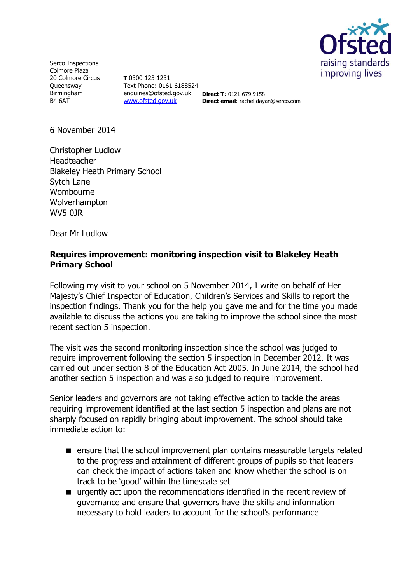

Serco Inspections Colmore Plaza 20 Colmore Circus **Queensway** Birmingham B4 6AT

**T** 0300 123 1231 Text Phone: 0161 6188524 enquiries@ofsted.gov.uk **Direct T**: 0121 679 9158 [www.ofsted.gov.uk](http://www.ofsted.gov.uk/)

**Direct email**: rachel.dayan@serco.com

6 November 2014

Christopher Ludlow Headteacher Blakeley Heath Primary School Sytch Lane Wombourne Wolverhampton WV5 0JR

Dear Mr Ludlow

### **Requires improvement: monitoring inspection visit to Blakeley Heath Primary School**

Following my visit to your school on 5 November 2014, I write on behalf of Her Majesty's Chief Inspector of Education, Children's Services and Skills to report the inspection findings. Thank you for the help you gave me and for the time you made available to discuss the actions you are taking to improve the school since the most recent section 5 inspection.

The visit was the second monitoring inspection since the school was judged to require improvement following the section 5 inspection in December 2012. It was carried out under section 8 of the Education Act 2005. In June 2014, the school had another section 5 inspection and was also judged to require improvement.

Senior leaders and governors are not taking effective action to tackle the areas requiring improvement identified at the last section 5 inspection and plans are not sharply focused on rapidly bringing about improvement. The school should take immediate action to:

- **E** ensure that the school improvement plan contains measurable targets related to the progress and attainment of different groups of pupils so that leaders can check the impact of actions taken and know whether the school is on track to be 'good' within the timescale set
- urgently act upon the recommendations identified in the recent review of governance and ensure that governors have the skills and information necessary to hold leaders to account for the school's performance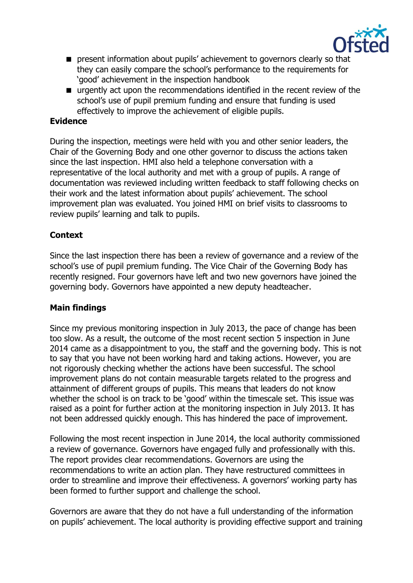

- **P** present information about pupils' achievement to governors clearly so that they can easily compare the school's performance to the requirements for 'good' achievement in the inspection handbook
- urgently act upon the recommendations identified in the recent review of the school's use of pupil premium funding and ensure that funding is used effectively to improve the achievement of eligible pupils.

# **Evidence**

During the inspection, meetings were held with you and other senior leaders, the Chair of the Governing Body and one other governor to discuss the actions taken since the last inspection. HMI also held a telephone conversation with a representative of the local authority and met with a group of pupils. A range of documentation was reviewed including written feedback to staff following checks on their work and the latest information about pupils' achievement. The school improvement plan was evaluated. You joined HMI on brief visits to classrooms to review pupils' learning and talk to pupils.

## **Context**

Since the last inspection there has been a review of governance and a review of the school's use of pupil premium funding. The Vice Chair of the Governing Body has recently resigned. Four governors have left and two new governors have joined the governing body. Governors have appointed a new deputy headteacher.

### **Main findings**

Since my previous monitoring inspection in July 2013, the pace of change has been too slow. As a result, the outcome of the most recent section 5 inspection in June 2014 came as a disappointment to you, the staff and the governing body. This is not to say that you have not been working hard and taking actions. However, you are not rigorously checking whether the actions have been successful. The school improvement plans do not contain measurable targets related to the progress and attainment of different groups of pupils. This means that leaders do not know whether the school is on track to be 'good' within the timescale set. This issue was raised as a point for further action at the monitoring inspection in July 2013. It has not been addressed quickly enough. This has hindered the pace of improvement.

Following the most recent inspection in June 2014, the local authority commissioned a review of governance. Governors have engaged fully and professionally with this. The report provides clear recommendations. Governors are using the recommendations to write an action plan. They have restructured committees in order to streamline and improve their effectiveness. A governors' working party has been formed to further support and challenge the school.

Governors are aware that they do not have a full understanding of the information on pupils' achievement. The local authority is providing effective support and training